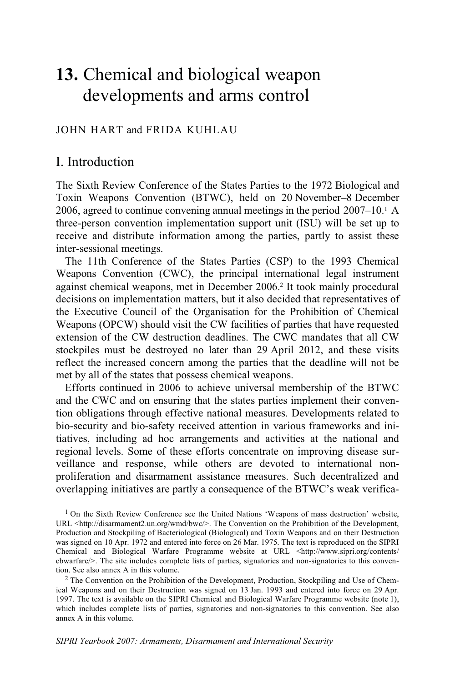# **13.** Chemical and biological weapon developments and arms control

### JOHN HART and FRIDA KUHLAU

### I. Introduction

The Sixth Review Conference of the States Parties to the 1972 Biological and Toxin Weapons Convention (BTWC), held on 20 November–8 December 2006, agreed to continue convening annual meetings in the period  $2007-10<sup>1</sup>$  A three-person convention implementation support unit (ISU) will be set up to receive and distribute information among the parties, partly to assist these inter-sessional meetings.

The 11th Conference of the States Parties (CSP) to the 1993 Chemical Weapons Convention (CWC), the principal international legal instrument against chemical weapons, met in December 2006.2 It took mainly procedural decisions on implementation matters, but it also decided that representatives of the Executive Council of the Organisation for the Prohibition of Chemical Weapons (OPCW) should visit the CW facilities of parties that have requested extension of the CW destruction deadlines. The CWC mandates that all CW stockpiles must be destroyed no later than 29 April 2012, and these visits reflect the increased concern among the parties that the deadline will not be met by all of the states that possess chemical weapons.

Efforts continued in 2006 to achieve universal membership of the BTWC and the CWC and on ensuring that the states parties implement their convention obligations through effective national measures. Developments related to bio-security and bio-safety received attention in various frameworks and initiatives, including ad hoc arrangements and activities at the national and regional levels. Some of these efforts concentrate on improving disease surveillance and response, while others are devoted to international nonproliferation and disarmament assistance measures. Such decentralized and overlapping initiatives are partly a consequence of the BTWC's weak verifica-

<sup>1</sup> On the Sixth Review Conference see the United Nations 'Weapons of mass destruction' website, URL <http://disarmament2.un.org/wmd/bwc/>. The Convention on the Prohibition of the Development, Production and Stockpiling of Bacteriological (Biological) and Toxin Weapons and on their Destruction was signed on 10 Apr. 1972 and entered into force on 26 Mar. 1975. The text is reproduced on the SIPRI Chemical and Biological Warfare Programme website at URL <http://www.sipri.org/contents/ cbwarfare/>. The site includes complete lists of parties, signatories and non-signatories to this convention. See also annex A in this volume.<br><sup>2</sup> The Convention on the Prohibition of the Development, Production, Stockpiling and Use of Chem-

ical Weapons and on their Destruction was signed on 13 Jan. 1993 and entered into force on 29 Apr. 1997. The text is available on the SIPRI Chemical and Biological Warfare Programme website (note 1), which includes complete lists of parties, signatories and non-signatories to this convention. See also annex A in this volume.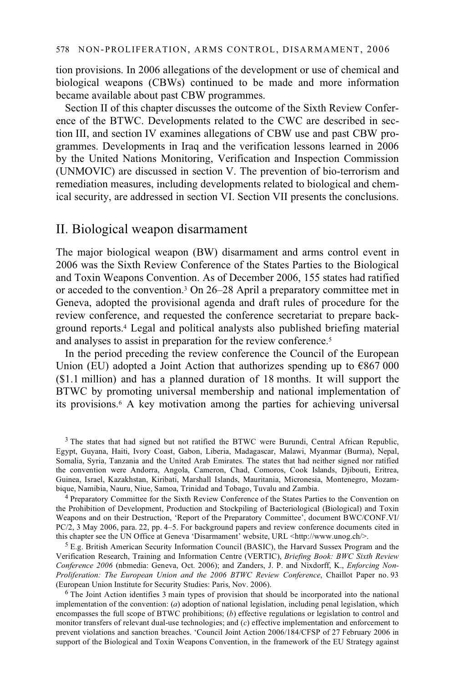tion provisions. In 2006 allegations of the development or use of chemical and biological weapons (CBWs) continued to be made and more information became available about past CBW programmes.

Section II of this chapter discusses the outcome of the Sixth Review Conference of the BTWC. Developments related to the CWC are described in section III, and section IV examines allegations of CBW use and past CBW programmes. Developments in Iraq and the verification lessons learned in 2006 by the United Nations Monitoring, Verification and Inspection Commission (UNMOVIC) are discussed in section V. The prevention of bio-terrorism and remediation measures, including developments related to biological and chemical security, are addressed in section VI. Section VII presents the conclusions.

# II. Biological weapon disarmament

The major biological weapon (BW) disarmament and arms control event in 2006 was the Sixth Review Conference of the States Parties to the Biological and Toxin Weapons Convention. As of December 2006, 155 states had ratified or acceded to the convention.3 On 26–28 April a preparatory committee met in Geneva, adopted the provisional agenda and draft rules of procedure for the review conference, and requested the conference secretariat to prepare background reports.4 Legal and political analysts also published briefing material and analyses to assist in preparation for the review conference.<sup>5</sup>

In the period preceding the review conference the Council of the European Union (EU) adopted a Joint Action that authorizes spending up to  $\epsilon$ 867 000 (\$1.1 million) and has a planned duration of 18 months. It will support the BTWC by promoting universal membership and national implementation of its provisions.6 A key motivation among the parties for achieving universal

<sup>4</sup> Preparatory Committee for the Sixth Review Conference of the States Parties to the Convention on the Prohibition of Development, Production and Stockpiling of Bacteriological (Biological) and Toxin Weapons and on their Destruction, 'Report of the Preparatory Committee', document BWC/CONF.VI/ PC/2, 3 May 2006, para. 22, pp. 4–5. For background papers and review conference documents cited in this chapter see the UN Office at Geneva 'Disarmament' website, URL <http://www.unog.ch/>.

<sup>5</sup> E.g. British American Security Information Council (BASIC), the Harvard Sussex Program and the Verification Research, Training and Information Centre (VERTIC), *Briefing Book: BWC Sixth Review Conference 2006* (nbmedia: Geneva, Oct. 2006); and Zanders, J. P. and Nixdorff, K., *Enforcing Non-Proliferation: The European Union and the 2006 BTWC Review Conference*, Chaillot Paper no. 93 (European Union Institute for Security Studies: Paris, Nov. 2006).

<sup>6</sup> The Joint Action identifies 3 main types of provision that should be incorporated into the national implementation of the convention: (*a*) adoption of national legislation, including penal legislation, which encompasses the full scope of BTWC prohibitions; (*b*) effective regulations or legislation to control and monitor transfers of relevant dual-use technologies; and (*c*) effective implementation and enforcement to prevent violations and sanction breaches. 'Council Joint Action 2006/184/CFSP of 27 February 2006 in support of the Biological and Toxin Weapons Convention, in the framework of the EU Strategy against

<sup>&</sup>lt;sup>3</sup> The states that had signed but not ratified the BTWC were Burundi, Central African Republic, Egypt, Guyana, Haiti, Ivory Coast, Gabon, Liberia, Madagascar, Malawi, Myanmar (Burma), Nepal, Somalia, Syria, Tanzania and the United Arab Emirates. The states that had neither signed nor ratified the convention were Andorra, Angola, Cameron, Chad, Comoros, Cook Islands, Djibouti, Eritrea, Guinea, Israel, Kazakhstan, Kiribati, Marshall Islands, Mauritania, Micronesia, Montenegro, Mozam-bique, Namibia, Nauru, Niue, Samoa, Trinidad and Tobago, Tuvalu and Zambia.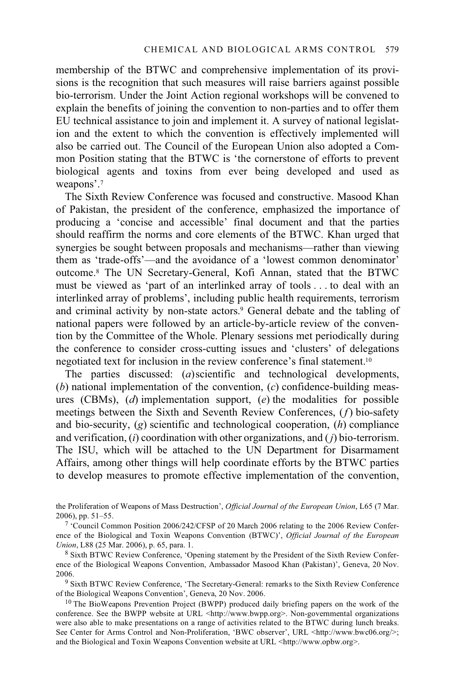membership of the BTWC and comprehensive implementation of its provisions is the recognition that such measures will raise barriers against possible bio-terrorism. Under the Joint Action regional workshops will be convened to explain the benefits of joining the convention to non-parties and to offer them EU technical assistance to join and implement it. A survey of national legislation and the extent to which the convention is effectively implemented will also be carried out. The Council of the European Union also adopted a Common Position stating that the BTWC is 'the cornerstone of efforts to prevent biological agents and toxins from ever being developed and used as weapons'.7

The Sixth Review Conference was focused and constructive. Masood Khan of Pakistan, the president of the conference, emphasized the importance of producing a 'concise and accessible' final document and that the parties should reaffirm the norms and core elements of the BTWC. Khan urged that synergies be sought between proposals and mechanisms—rather than viewing them as 'trade-offs'—and the avoidance of a 'lowest common denominator' outcome.8 The UN Secretary-General, Kofi Annan, stated that the BTWC must be viewed as 'part of an interlinked array of tools . . . to deal with an interlinked array of problems', including public health requirements, terrorism and criminal activity by non-state actors.<sup>9</sup> General debate and the tabling of national papers were followed by an article-by-article review of the convention by the Committee of the Whole. Plenary sessions met periodically during the conference to consider cross-cutting issues and 'clusters' of delegations negotiated text for inclusion in the review conference's final statement.10

The parties discussed: (*a*) scientific and technological developments, (*b*) national implementation of the convention, (*c*) confidence-building measures (CBMs), (*d*) implementation support, (*e*) the modalities for possible meetings between the Sixth and Seventh Review Conferences, (*f*) bio-safety and bio-security, (*g*) scientific and technological cooperation, (*h*) compliance and verification, (*i*) coordination with other organizations, and ( *j*) bio-terrorism. The ISU, which will be attached to the UN Department for Disarmament Affairs, among other things will help coordinate efforts by the BTWC parties to develop measures to promote effective implementation of the convention,

the Proliferation of Weapons of Mass Destruction', *Official Journal of the European Union*, L65 (7 Mar. 2006), pp. 51–55.<br><sup>7</sup> 'Council Common Position 2006/242/CFSP of 20 March 2006 relating to the 2006 Review Confer-

ence of the Biological and Toxin Weapons Convention (BTWC)', *Official Journal of the European Union*, L88 (25 Mar. 2006), p. 65, para. 1.

8 Sixth BTWC Review Conference, 'Opening statement by the President of the Sixth Review Conference of the Biological Weapons Convention, Ambassador Masood Khan (Pakistan)', Geneva, 20 Nov.

 $9$  Sixth BTWC Review Conference, 'The Secretary-General: remarks to the Sixth Review Conference of the Biological Weapons Convention', Geneva, 20 Nov. 2006.

<sup>10</sup> The BioWeapons Prevention Project (BWPP) produced daily briefing papers on the work of the conference. See the BWPP website at URL <http://www.bwpp.org>. Non-governmental organizations were also able to make presentations on a range of activities related to the BTWC during lunch breaks. See Center for Arms Control and Non-Proliferation, 'BWC observer', URL <http://www.bwc06.org/>; and the Biological and Toxin Weapons Convention website at URL <http://www.opbw.org>.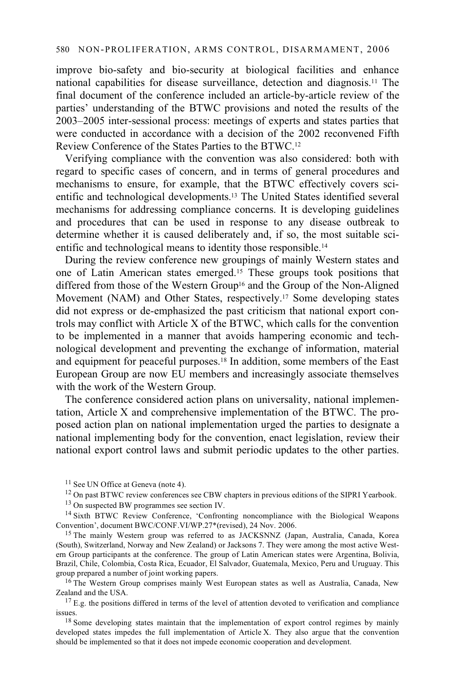### 580 NON-PROLIFERATION, ARMS CONTROL, DISARMAMENT, 2006

improve bio-safety and bio-security at biological facilities and enhance national capabilities for disease surveillance, detection and diagnosis.11 The final document of the conference included an article-by-article review of the parties' understanding of the BTWC provisions and noted the results of the 2003–2005 inter-sessional process: meetings of experts and states parties that were conducted in accordance with a decision of the 2002 reconvened Fifth Review Conference of the States Parties to the BTWC.12

Verifying compliance with the convention was also considered: both with regard to specific cases of concern, and in terms of general procedures and mechanisms to ensure, for example, that the BTWC effectively covers scientific and technological developments.13 The United States identified several mechanisms for addressing compliance concerns. It is developing guidelines and procedures that can be used in response to any disease outbreak to determine whether it is caused deliberately and, if so, the most suitable scientific and technological means to identity those responsible.14

During the review conference new groupings of mainly Western states and one of Latin American states emerged.15 These groups took positions that differed from those of the Western Group<sup>16</sup> and the Group of the Non-Aligned Movement (NAM) and Other States, respectively.17 Some developing states did not express or de-emphasized the past criticism that national export controls may conflict with Article X of the BTWC, which calls for the convention to be implemented in a manner that avoids hampering economic and technological development and preventing the exchange of information, material and equipment for peaceful purposes.<sup>18</sup> In addition, some members of the East European Group are now EU members and increasingly associate themselves with the work of the Western Group.

The conference considered action plans on universality, national implementation, Article X and comprehensive implementation of the BTWC. The proposed action plan on national implementation urged the parties to designate a national implementing body for the convention, enact legislation, review their national export control laws and submit periodic updates to the other parties.

13 On suspected BW programmes see section IV.

(South), Switzerland, Norway and New Zealand) or Jacksons 7. They were among the most active Western Group participants at the conference. The group of Latin American states were Argentina, Bolivia, Brazil, Chile, Colombia, Costa Rica, Ecuador, El Salvador, Guatemala, Mexico, Peru and Uruguay. This

<sup>16</sup> The Western Group comprises mainly West European states as well as Australia, Canada, New Zealand and the USA.

 $17$  E.g. the positions differed in terms of the level of attention devoted to verification and compliance issues.<br><sup>18</sup> Some developing states maintain that the implementation of export control regimes by mainly

developed states impedes the full implementation of Article X. They also argue that the convention should be implemented so that it does not impede economic cooperation and development.

<sup>&</sup>lt;sup>11</sup> See UN Office at Geneva (note 4).

<sup>&</sup>lt;sup>12</sup> On past BTWC review conferences see CBW chapters in previous editions of the SIPRI Yearbook.

<sup>14</sup> Sixth BTWC Review Conference, 'Confronting noncompliance with the Biological Weapons Convention', document BWC/CONF.VI/WP.27\*(revised), 24 Nov. 2006. 15 The mainly Western group was referred to as JACKSNNZ (Japan, Australia, Canada, Korea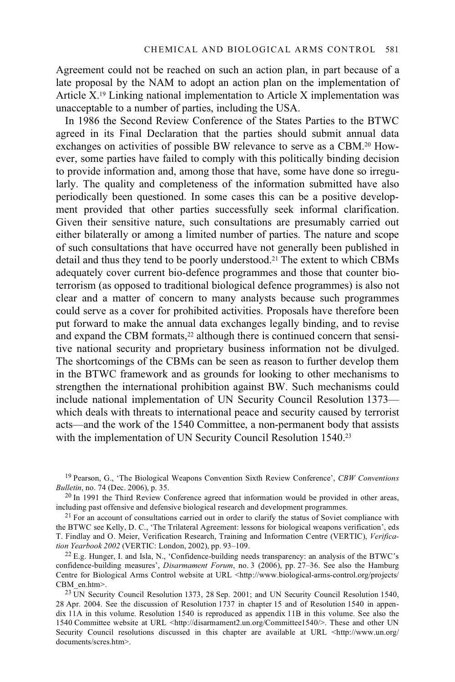Agreement could not be reached on such an action plan, in part because of a late proposal by the NAM to adopt an action plan on the implementation of Article X.19 Linking national implementation to Article X implementation was unacceptable to a number of parties, including the USA.

In 1986 the Second Review Conference of the States Parties to the BTWC agreed in its Final Declaration that the parties should submit annual data exchanges on activities of possible BW relevance to serve as a CBM.20 However, some parties have failed to comply with this politically binding decision to provide information and, among those that have, some have done so irregularly. The quality and completeness of the information submitted have also periodically been questioned. In some cases this can be a positive development provided that other parties successfully seek informal clarification. Given their sensitive nature, such consultations are presumably carried out either bilaterally or among a limited number of parties. The nature and scope of such consultations that have occurred have not generally been published in detail and thus they tend to be poorly understood.21 The extent to which CBMs adequately cover current bio-defence programmes and those that counter bioterrorism (as opposed to traditional biological defence programmes) is also not clear and a matter of concern to many analysts because such programmes could serve as a cover for prohibited activities. Proposals have therefore been put forward to make the annual data exchanges legally binding, and to revise and expand the CBM formats,<sup>22</sup> although there is continued concern that sensitive national security and proprietary business information not be divulged. The shortcomings of the CBMs can be seen as reason to further develop them in the BTWC framework and as grounds for looking to other mechanisms to strengthen the international prohibition against BW. Such mechanisms could include national implementation of UN Security Council Resolution 1373 which deals with threats to international peace and security caused by terrorist acts—and the work of the 1540 Committee, a non-permanent body that assists with the implementation of UN Security Council Resolution 1540.<sup>23</sup>

19 Pearson, G., 'The Biological Weapons Convention Sixth Review Conference', *CBW Conventions* 

<sup>20</sup> In 1991 the Third Review Conference agreed that information would be provided in other areas, including past offensive and defensive biological research and development programmes.

 $1<sup>21</sup>$  For an account of consultations carried out in order to clarify the status of Soviet compliance with the BTWC see Kelly, D. C., 'The Trilateral Agreement: lessons for biological weapons verification', eds T. Findlay and O. Meier, Verification Research, Training and Information Centre (VERTIC), *Verifica-*

 $^{22}$  E.g. Hunger, I. and Isla, N., 'Confidence-building needs transparency: an analysis of the BTWC's confidence-building measures', *Disarmament Forum*, no. 3 (2006), pp. 27–36. See also the Hamburg Centre for Biological Arms Control website at URL <http://www.biological-arms-control.org/projects/<br>CBM en.htm>.

<sup>23</sup> UN Security Council Resolution 1373, 28 Sep. 2001; and UN Security Council Resolution 1540, 28 Apr. 2004. See the discussion of Resolution 1737 in chapter 15 and of Resolution 1540 in appendix 11A in this volume. Resolution 1540 is reproduced as appendix 11B in this volume. See also the 1540 Committee website at URL <http://disarmament2.un.org/Committee1540/>. These and other UN Security Council resolutions discussed in this chapter are available at URL <http://www.un.org/ documents/scres.htm>.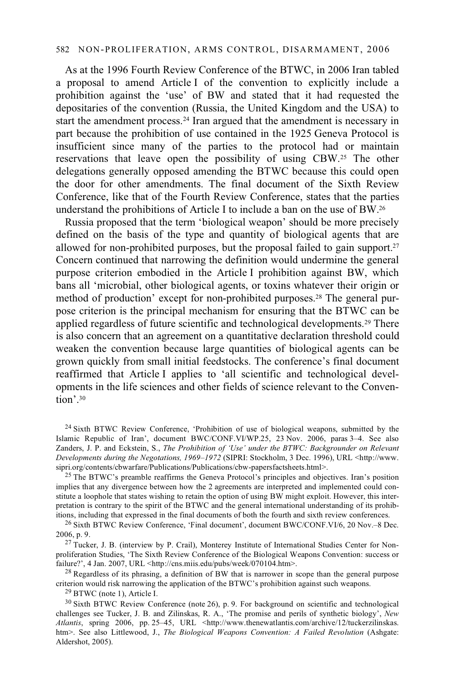As at the 1996 Fourth Review Conference of the BTWC, in 2006 Iran tabled a proposal to amend Article I of the convention to explicitly include a prohibition against the 'use' of BW and stated that it had requested the depositaries of the convention (Russia, the United Kingdom and the USA) to start the amendment process.24 Iran argued that the amendment is necessary in part because the prohibition of use contained in the 1925 Geneva Protocol is insufficient since many of the parties to the protocol had or maintain reservations that leave open the possibility of using CBW.25 The other delegations generally opposed amending the BTWC because this could open the door for other amendments. The final document of the Sixth Review Conference, like that of the Fourth Review Conference, states that the parties understand the prohibitions of Article I to include a ban on the use of BW.26

Russia proposed that the term 'biological weapon' should be more precisely defined on the basis of the type and quantity of biological agents that are allowed for non-prohibited purposes, but the proposal failed to gain support.<sup>27</sup> Concern continued that narrowing the definition would undermine the general purpose criterion embodied in the Article I prohibition against BW, which bans all 'microbial, other biological agents, or toxins whatever their origin or method of production' except for non-prohibited purposes.28 The general purpose criterion is the principal mechanism for ensuring that the BTWC can be applied regardless of future scientific and technological developments.29 There is also concern that an agreement on a quantitative declaration threshold could weaken the convention because large quantities of biological agents can be grown quickly from small initial feedstocks. The conference's final document reaffirmed that Article I applies to 'all scientific and technological developments in the life sciences and other fields of science relevant to the Convention'.30

 $24$  Sixth BTWC Review Conference, 'Prohibition of use of biological weapons, submitted by the Islamic Republic of Iran', document BWC/CONF.VI/WP.25, 23 Nov. 2006, paras 3–4. See also Zanders, J. P. and Eckstein, S., *The Prohibition of 'Use' under the BTWC: Backgrounder on Relevant Developments during the Negotations, 1969–1972* (SIPRI: Stockholm, 3 Dec. 1996), URL <http://www.

<sup>25</sup> The BTWC's preamble reaffirms the Geneva Protocol's principles and objectives. Iran's position implies that any divergence between how the 2 agreements are interpreted and implemented could constitute a loophole that states wishing to retain the option of using BW might exploit. However, this interpretation is contrary to the spirit of the BTWC and the general international understanding of its prohib-<br>itions, including that expressed in the final documents of both the fourth and sixth review conferences.

<sup>26</sup> Sixth BTWC Review Conference, 'Final document', document BWC/CONF.VI/6, 20 Nov.–8 Dec. 2006, p. 9.

 $27$  Tucker, J. B. (interview by P. Crail), Monterey Institute of International Studies Center for Nonproliferation Studies, 'The Sixth Review Conference of the Biological Weapons Convention: success or failure?', 4 Jan. 2007, URL <http://cns.miis.edu/pubs/week/070104.htm>.

<sup>28</sup> Regardless of its phrasing, a definition of BW that is narrower in scope than the general purpose criterion would risk narrowing the application of the BTWC's prohibition against such weapons. 29 BTWC (note 1), Article I.

<sup>30</sup> Sixth BTWC Review Conference (note 26), p. 9. For background on scientific and technological challenges see Tucker, J. B. and Zilinskas, R. A., 'The promise and perils of synthetic biology', *New*  Atlantis, spring 2006, pp. 25-45, URL <http://www.thenewatlantis.com/archive/12/tuckerzilinskas. htm>. See also Littlewood, J., *The Biological Weapons Convention: A Failed Revolution* (Ashgate: Aldershot, 2005).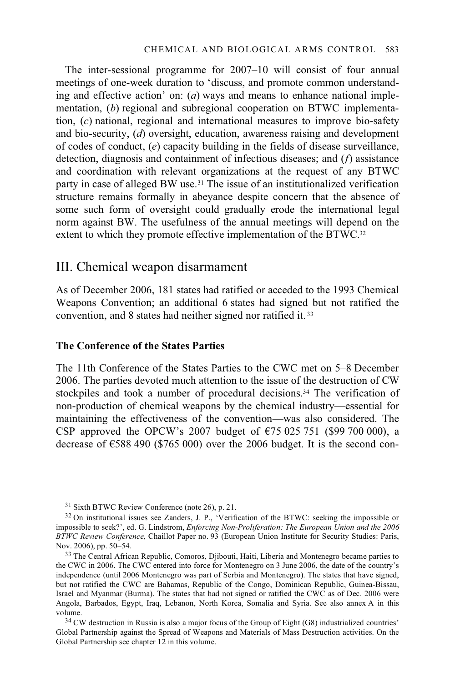The inter-sessional programme for 2007–10 will consist of four annual meetings of one-week duration to 'discuss, and promote common understanding and effective action' on: (*a*) ways and means to enhance national implementation, (*b*) regional and subregional cooperation on BTWC implementation, (*c*) national, regional and international measures to improve bio-safety and bio-security, (*d*) oversight, education, awareness raising and development of codes of conduct, (*e*) capacity building in the fields of disease surveillance, detection, diagnosis and containment of infectious diseases; and (*f*) assistance and coordination with relevant organizations at the request of any BTWC party in case of alleged BW use.31 The issue of an institutionalized verification structure remains formally in abeyance despite concern that the absence of some such form of oversight could gradually erode the international legal norm against BW. The usefulness of the annual meetings will depend on the extent to which they promote effective implementation of the BTWC.<sup>32</sup>

### III. Chemical weapon disarmament

As of December 2006, 181 states had ratified or acceded to the 1993 Chemical Weapons Convention; an additional 6 states had signed but not ratified the convention, and 8 states had neither signed nor ratified it. 33

### **The Conference of the States Parties**

The 11th Conference of the States Parties to the CWC met on 5–8 December 2006. The parties devoted much attention to the issue of the destruction of CW stockpiles and took a number of procedural decisions.<sup>34</sup> The verification of non-production of chemical weapons by the chemical industry—essential for maintaining the effectiveness of the convention—was also considered. The CSP approved the OPCW's 2007 budget of  $\epsilon$ 75 025 751 (\$99 700 000), a decrease of  $\epsilon$ 588 490 (\$765 000) over the 2006 budget. It is the second con-

31 Sixth BTWC Review Conference (note 26), p. 21.

34 CW destruction in Russia is also a major focus of the Group of Eight (G8) industrialized countries' Global Partnership against the Spread of Weapons and Materials of Mass Destruction activities. On the Global Partnership see chapter 12 in this volume.

<sup>&</sup>lt;sup>32</sup> On institutional issues see Zanders, J. P., 'Verification of the BTWC: seeking the impossible or impossible to seek?', ed. G. Lindstrom, *Enforcing Non-Proliferation: The European Union and the 2006 BTWC Review Conference*, Chaillot Paper no. 93 (European Union Institute for Security Studies: Paris,

<sup>&</sup>lt;sup>33</sup> The Central African Republic, Comoros, Djibouti, Haiti, Liberia and Montenegro became parties to the CWC in 2006. The CWC entered into force for Montenegro on 3 June 2006, the date of the country's independence (until 2006 Montenegro was part of Serbia and Montenegro). The states that have signed, but not ratified the CWC are Bahamas, Republic of the Congo, Dominican Republic, Guinea-Bissau, Israel and Myanmar (Burma). The states that had not signed or ratified the CWC as of Dec. 2006 were Angola, Barbados, Egypt, Iraq, Lebanon, North Korea, Somalia and Syria. See also annex A in this volume.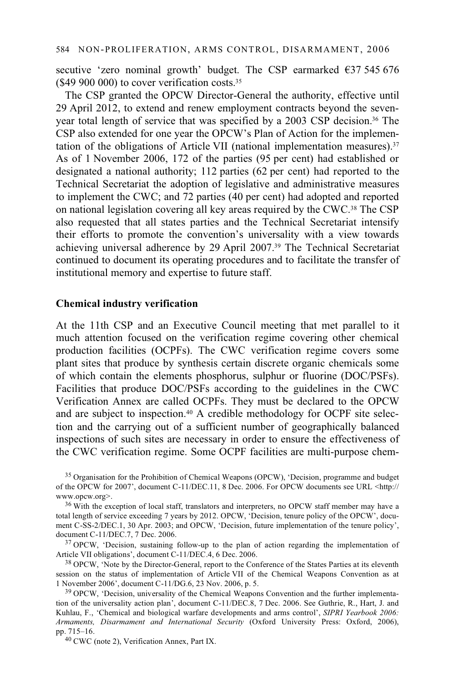secutive 'zero nominal growth' budget. The CSP earmarked  $\epsilon$ 37 545 676  $($ \$49 900 000) to cover verification costs. $35$ 

The CSP granted the OPCW Director-General the authority, effective until 29 April 2012, to extend and renew employment contracts beyond the sevenyear total length of service that was specified by a 2003 CSP decision.36 The CSP also extended for one year the OPCW's Plan of Action for the implementation of the obligations of Article VII (national implementation measures).37 As of 1 November 2006, 172 of the parties (95 per cent) had established or designated a national authority; 112 parties (62 per cent) had reported to the Technical Secretariat the adoption of legislative and administrative measures to implement the CWC; and 72 parties (40 per cent) had adopted and reported on national legislation covering all key areas required by the CWC.38 The CSP also requested that all states parties and the Technical Secretariat intensify their efforts to promote the convention's universality with a view towards achieving universal adherence by 29 April 2007.39 The Technical Secretariat continued to document its operating procedures and to facilitate the transfer of institutional memory and expertise to future staff.

### **Chemical industry verification**

At the 11th CSP and an Executive Council meeting that met parallel to it much attention focused on the verification regime covering other chemical production facilities (OCPFs). The CWC verification regime covers some plant sites that produce by synthesis certain discrete organic chemicals some of which contain the elements phosphorus, sulphur or fluorine (DOC/PSFs). Facilities that produce DOC/PSFs according to the guidelines in the CWC Verification Annex are called OCPFs. They must be declared to the OPCW and are subject to inspection.<sup>40</sup> A credible methodology for OCPF site selection and the carrying out of a sufficient number of geographically balanced inspections of such sites are necessary in order to ensure the effectiveness of the CWC verification regime. Some OCPF facilities are multi-purpose chem-

<sup>&</sup>lt;sup>35</sup> Organisation for the Prohibition of Chemical Weapons (OPCW), 'Decision, programme and budget of the OPCW for 2007', document C-11/DEC.11, 8 Dec. 2006. For OPCW documents see URL <http:// www.opcw.org>.

<sup>&</sup>lt;sup>36</sup> With the exception of local staff, translators and interpreters, no OPCW staff member may have a total length of service exceeding 7 years by 2012. OPCW, 'Decision, tenure policy of the OPCW', document C-SS-2/DEC.1, 30 Apr. 2003; and OPCW, 'Decision, future implementation of the tenure policy', document C-11/DEC.7, 7 Dec. 2006.

 $37$  OPCW, 'Decision, sustaining follow-up to the plan of action regarding the implementation of Article VII obligations', document C-11/DEC.4, 6 Dec. 2006.

<sup>&</sup>lt;sup>38</sup> OPCW, 'Note by the Director-General, report to the Conference of the States Parties at its eleventh session on the status of implementation of Article VII of the Chemical Weapons Convention as at 1 November 2006', document C-11/DG.6, 23 Nov. 2006, p. 5.

<sup>&</sup>lt;sup>39</sup> OPCW, 'Decision, universality of the Chemical Weapons Convention and the further implementation of the universality action plan', document C-11/DEC.8, 7 Dec. 2006. See Guthrie, R., Hart, J. and Kuhlau, F., 'Chemical and biological warfare developments and arms control', *SIPRI Yearbook 2006: Armaments, Disarmament and International Security* (Oxford University Press: Oxford, 2006), pp. 715–16. 40 CWC (note 2), Verification Annex, Part IX.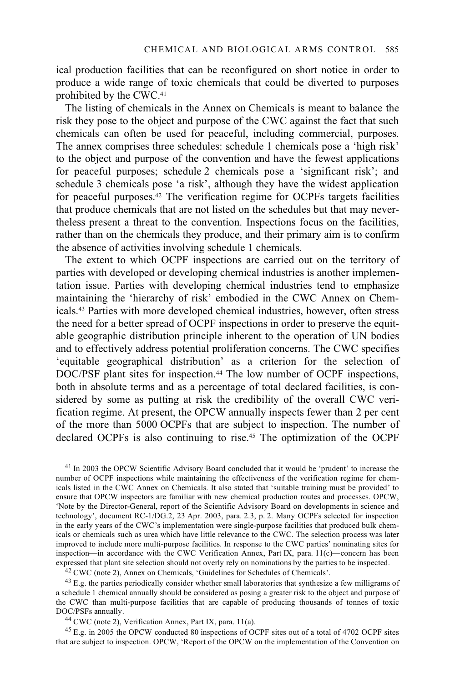ical production facilities that can be reconfigured on short notice in order to produce a wide range of toxic chemicals that could be diverted to purposes prohibited by the CWC.41

The listing of chemicals in the Annex on Chemicals is meant to balance the risk they pose to the object and purpose of the CWC against the fact that such chemicals can often be used for peaceful, including commercial, purposes. The annex comprises three schedules: schedule 1 chemicals pose a 'high risk' to the object and purpose of the convention and have the fewest applications for peaceful purposes; schedule 2 chemicals pose a 'significant risk'; and schedule 3 chemicals pose 'a risk', although they have the widest application for peaceful purposes.42 The verification regime for OCPFs targets facilities that produce chemicals that are not listed on the schedules but that may nevertheless present a threat to the convention. Inspections focus on the facilities, rather than on the chemicals they produce, and their primary aim is to confirm the absence of activities involving schedule 1 chemicals.

The extent to which OCPF inspections are carried out on the territory of parties with developed or developing chemical industries is another implementation issue. Parties with developing chemical industries tend to emphasize maintaining the 'hierarchy of risk' embodied in the CWC Annex on Chemicals.43 Parties with more developed chemical industries, however, often stress the need for a better spread of OCPF inspections in order to preserve the equitable geographic distribution principle inherent to the operation of UN bodies and to effectively address potential proliferation concerns. The CWC specifies 'equitable geographical distribution' as a criterion for the selection of DOC/PSF plant sites for inspection.<sup>44</sup> The low number of OCPF inspections, both in absolute terms and as a percentage of total declared facilities, is considered by some as putting at risk the credibility of the overall CWC verification regime. At present, the OPCW annually inspects fewer than 2 per cent of the more than 5000 OCPFs that are subject to inspection. The number of declared OCPFs is also continuing to rise.45 The optimization of the OCPF

41 In 2003 the OPCW Scientific Advisory Board concluded that it would be 'prudent' to increase the number of OCPF inspections while maintaining the effectiveness of the verification regime for chemicals listed in the CWC Annex on Chemicals. It also stated that 'suitable training must be provided' to ensure that OPCW inspectors are familiar with new chemical production routes and processes. OPCW, 'Note by the Director-General, report of the Scientific Advisory Board on developments in science and technology', document RC-1/DG.2, 23 Apr. 2003, para. 2.3, p. 2. Many OCPFs selected for inspection in the early years of the CWC's implementation were single-purpose facilities that produced bulk chemicals or chemicals such as urea which have little relevance to the CWC. The selection process was later improved to include more multi-purpose facilities. In response to the CWC parties' nominating sites for inspection—in accordance with the CWC Verification Annex, Part IX, para. 11(c)—concern has been

 $^{42}$  CWC (note 2), Annex on Chemicals, 'Guidelines for Schedules of Chemicals'.

<sup>43</sup> E.g. the parties periodically consider whether small laboratories that synthesize a few milligrams of a schedule 1 chemical annually should be considered as posing a greater risk to the object and purpose of the CWC than multi-purpose facilities that are capable of producing thousands of tonnes of toxic DOC/PSFs annually.<br><sup>44</sup> CWC (note 2), Verification Annex, Part IX, para. 11(a).

45 E.g. in 2005 the OPCW conducted 80 inspections of OCPF sites out of a total of 4702 OCPF sites that are subject to inspection. OPCW, 'Report of the OPCW on the implementation of the Convention on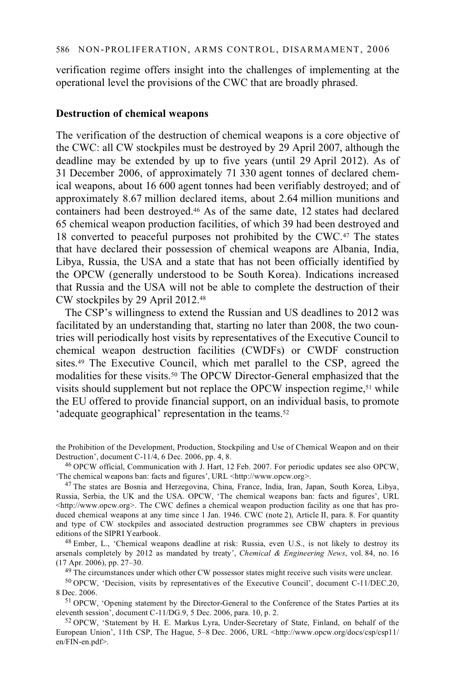verification regime offers insight into the challenges of implementing at the operational level the provisions of the CWC that are broadly phrased.

#### **Destruction of chemical weapons**

The verification of the destruction of chemical weapons is a core objective of the CWC: all CW stockpiles must be destroyed by 29 April 2007, although the deadline may be extended by up to five years (until 29 April 2012). As of 31 December 2006, of approximately 71 330 agent tonnes of declared chemical weapons, about 16 600 agent tonnes had been verifiably destroyed; and of approximately 8.67 million declared items, about 2.64 million munitions and containers had been destroyed.46 As of the same date, 12 states had declared 65 chemical weapon production facilities, of which 39 had been destroyed and 18 converted to peaceful purposes not prohibited by the CWC.47 The states that have declared their possession of chemical weapons are Albania, India, Libya, Russia, the USA and a state that has not been officially identified by the OPCW (generally understood to be South Korea). Indications increased that Russia and the USA will not be able to complete the destruction of their CW stockpiles by 29 April 2012.48

The CSP's willingness to extend the Russian and US deadlines to 2012 was facilitated by an understanding that, starting no later than 2008, the two countries will periodically host visits by representatives of the Executive Council to chemical weapon destruction facilities (CWDFs) or CWDF construction sites.49 The Executive Council, which met parallel to the CSP, agreed the modalities for these visits.<sup>50</sup> The OPCW Director-General emphasized that the visits should supplement but not replace the OPCW inspection regime,<sup>51</sup> while the EU offered to provide financial support, on an individual basis, to promote 'adequate geographical' representation in the teams.<sup>52</sup>

'The chemical weapons ban: facts and figures', URL <http://www.opcw.org>.

47 The states are Bosnia and Herzegovina, China, France, India, Iran, Japan, South Korea, Libya, Russia, Serbia, the UK and the USA. OPCW, 'The chemical weapons ban: facts and figures', URL  $\text{~d}$ thtp://www.opcw.org>. The CWC defines a chemical weapon production facility as one that has produced chemical weapons at any time since 1 Jan. 1946. CWC (note 2), Article II, para. 8. For quantity and type of CW stockpiles and associated destruction programmes see CBW chapters in previous editions of the SIPRI Yearbook.<br><sup>48</sup> Ember, L., 'Chemical weapons deadline at risk: Russia, even U.S., is not likely to destroy its

arsenals completely by 2012 as mandated by treaty', *Chemical & Engineering News*, vol. 84, no. 16

<sup>49</sup> The circumstances under which other CW possessor states might receive such visits were unclear.

50 OPCW, 'Decision, visits by representatives of the Executive Council', document C-11/DEC.20,

8 Dec. 2006.<br><sup>51</sup> OPCW, 'Opening statement by the Director-General to the Conference of the States Parties at its eleventh session', document C-11/DG.9, 5 Dec. 2006, para. 10, p. 2.

 $52$  OPCW, 'Statement by H. E. Markus Lyra, Under-Secretary of State, Finland, on behalf of the European Union', 11th CSP, The Hague, 5–8 Dec. 2006, URL <http://www.opcw.org/docs/csp/csp11/ en/FIN-en.pdf>.

the Prohibition of the Development, Production, Stockpiling and Use of Chemical Weapon and on their Destruction', document C-11/4, 6 Dec. 2006, pp. 4, 8.<br><sup>46</sup> OPCW official, Communication with J. Hart, 12 Feb. 2007. For periodic updates see also OPCW,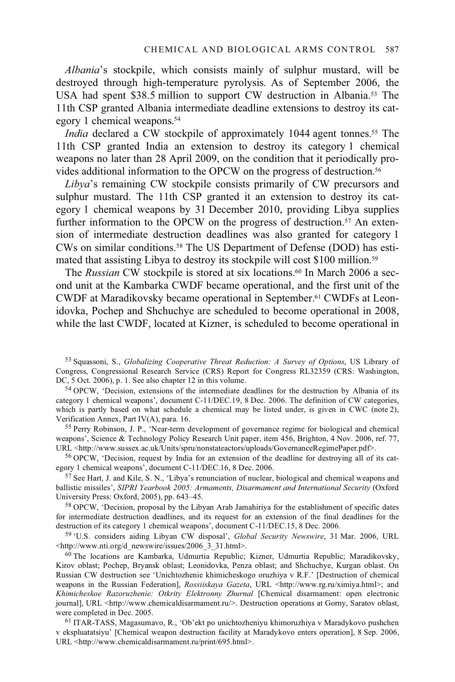*Albania*'s stockpile, which consists mainly of sulphur mustard, will be destroyed through high-temperature pyrolysis. As of September 2006, the USA had spent \$38.5 million to support CW destruction in Albania.53 The 11th CSP granted Albania intermediate deadline extensions to destroy its category 1 chemical weapons.54

*India* declared a CW stockpile of approximately 1044 agent tonnes.<sup>55</sup> The 11th CSP granted India an extension to destroy its category 1 chemical weapons no later than 28 April 2009, on the condition that it periodically provides additional information to the OPCW on the progress of destruction.56

*Libya*'s remaining CW stockpile consists primarily of CW precursors and sulphur mustard. The 11th CSP granted it an extension to destroy its category 1 chemical weapons by 31 December 2010, providing Libya supplies further information to the OPCW on the progress of destruction.<sup>57</sup> An extension of intermediate destruction deadlines was also granted for category 1 CWs on similar conditions.58 The US Department of Defense (DOD) has estimated that assisting Libya to destroy its stockpile will cost \$100 million.<sup>59</sup>

The *Russian* CW stockpile is stored at six locations.<sup>60</sup> In March 2006 a second unit at the Kambarka CWDF became operational, and the first unit of the CWDF at Maradikovsky became operational in September.61 CWDFs at Leonidovka, Pochep and Shchuchye are scheduled to become operational in 2008, while the last CWDF, located at Kizner, is scheduled to become operational in

53 Squassoni, S., *Globalizing Cooperative Threat Reduction: A Survey of Options*, US Library of Congress, Congressional Research Service (CRS) Report for Congress RL32359 (CRS: Washington, DC, 5 Oct. 2006), p. 1. See also chapter 12 in this volume.

54 OPCW, 'Decision, extensions of the intermediate deadlines for the destruction by Albania of its category 1 chemical weapons', document C-11/DEC.19, 8 Dec. 2006. The definition of CW categories, which is partly based on what schedule a chemical may be listed under, is given in CWC (note 2), Verification Annex, Part IV(A), para. 16.<br><sup>55</sup> Perry Robinson, J. P., 'Near-term development of governance regime for biological and chemical

weapons', Science & Technology Policy Research Unit paper, item 456, Brighton, 4 Nov. 2006, ref. 77, URL <http://www.sussex.ac.uk/Units/spru/nonstateactors/uploads/GovernanceRegimePaper.pdf>.

56 OPCW, 'Decision, request by India for an extension of the deadline for destroying all of its category 1 chemical weapons', document C-11/DEC.16, 8 Dec. 2006.<br><sup>57</sup> See Hart, J. and Kile, S. N., 'Libya's renunciation of nuclear, biological and chemical weapons and

ballistic missiles', *SIPRI Yearbook 2005: Armaments, Disarmament and International Security* (Oxford University Press: Oxford, 2005), pp. 643–45.<br><sup>58</sup> OPCW, 'Decision, proposal by the Libyan Arab Jamahiriya for the establishment of specific dates

for intermediate destruction deadlines, and its request for an extension of the final deadlines for the destruction of its category 1 chemical weapons', document C-11/DEC.15, 8 Dec. 2006.

<sup>59</sup> 'U.S. considers aiding Libyan CW disposal', *Global Security Newswire*, 31 Mar. 2006, URL <http://www.nti.org/d newswire/issues/2006 3 31.html>.

 $60$  The locations are Kambarka, Udmurtia Republic; Kizner, Udmurtia Republic; Maradikovsky, Kirov oblast; Pochep, Bryansk oblast; Leonidovka, Penza oblast; and Shchuchye, Kurgan oblast. On Russian CW destruction see 'Unichtozhenie khimicheskogo oruzhiya v R.F.' [Destruction of chemical weapons in the Russian Federation], *Rossiiskaya Gazeta*, URL <http://www.rg.ru/ximiya.html>; and *Khimicheskoe Razoruzhenie: Otkrity Elektronny Zhurnal* [Chemical disarmament: open electronic journal], URL <http://www.chemicaldisarmament.ru/>. Destruction operations at Gorny, Saratov oblast, were completed in Dec. 2005.

 $<sup>61</sup> ITAR-TASS, Magasumavo, R., 'Ob'ekt po unichtozheniyu khimoruzhiya v Maradykovo pushchen$ </sup> v ekspluatatsiyu' [Chemical weapon destruction facility at Maradykovo enters operation], 8 Sep. 2006, URL <http://www.chemicaldisarmament.ru/print/695.html>.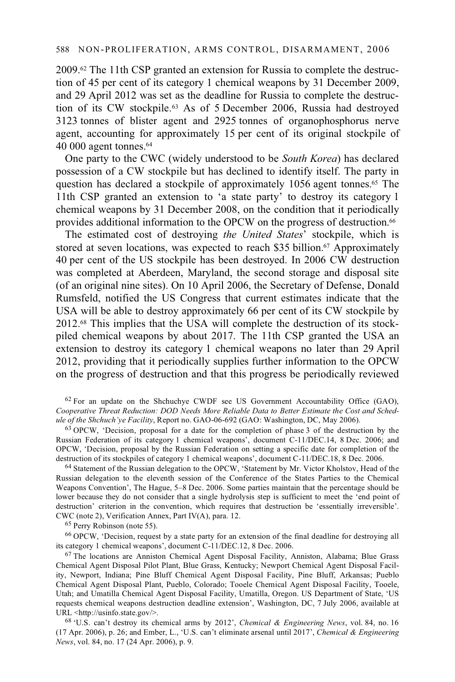2009.62 The 11th CSP granted an extension for Russia to complete the destruction of 45 per cent of its category 1 chemical weapons by 31 December 2009, and 29 April 2012 was set as the deadline for Russia to complete the destruction of its CW stockpile.63 As of 5 December 2006, Russia had destroyed 3123 tonnes of blister agent and 2925 tonnes of organophosphorus nerve agent, accounting for approximately 15 per cent of its original stockpile of 40 000 agent tonnes.64

One party to the CWC (widely understood to be *South Korea*) has declared possession of a CW stockpile but has declined to identify itself. The party in question has declared a stockpile of approximately 1056 agent tonnes.<sup>65</sup> The 11th CSP granted an extension to 'a state party' to destroy its category 1 chemical weapons by 31 December 2008, on the condition that it periodically provides additional information to the OPCW on the progress of destruction.<sup>66</sup>

The estimated cost of destroying *the United States*' stockpile, which is stored at seven locations, was expected to reach \$35 billion.<sup>67</sup> Approximately 40 per cent of the US stockpile has been destroyed. In 2006 CW destruction was completed at Aberdeen, Maryland, the second storage and disposal site (of an original nine sites). On 10 April 2006, the Secretary of Defense, Donald Rumsfeld, notified the US Congress that current estimates indicate that the USA will be able to destroy approximately 66 per cent of its CW stockpile by 2012.68 This implies that the USA will complete the destruction of its stockpiled chemical weapons by about 2017. The 11th CSP granted the USA an extension to destroy its category 1 chemical weapons no later than 29 April 2012, providing that it periodically supplies further information to the OPCW on the progress of destruction and that this progress be periodically reviewed

 $62$  For an update on the Shchuchye CWDF see US Government Accountability Office (GAO), Cooperative Threat Reduction: DOD Needs More Reliable Data to Better Estimate the Cost and Sched-<br>ule of the Shchuch'ye Facility, Report no. GAO-06-692 (GAO: Washington, DC, May 2006).

<sup>63</sup> OPCW, 'Decision, proposal for a date for the completion of phase 3 of the destruction by the Russian Federation of its category 1 chemical weapons', document C-11/DEC.14, 8 Dec. 2006; and OPCW, 'Decision, proposal by the Russian Federation on setting a specific date for completion of the destruction of its stockpiles of category 1 chemical weapons', document C-11/DEC.18, 8 Dec. 2006.

 $64$  Statement of the Russian delegation to the OPCW, 'Statement by Mr. Victor Kholstov, Head of the Russian delegation to the eleventh session of the Conference of the States Parties to the Chemical Weapons Convention', The Hague, 5–8 Dec. 2006. Some parties maintain that the percentage should be lower because they do not consider that a single hydrolysis step is sufficient to meet the 'end point of destruction' criterion in the convention, which requires that destruction be 'essentially irreversible'. CWC (note 2), Verification Annex, Part IV(A), para. 12.

65 Perry Robinson (note 55).

 $^{66}$  OPCW, 'Decision, request by a state party for an extension of the final deadline for destroying all its category 1 chemical weapons', document C-11/DEC.12, 8 Dec. 2006.

 $67$  The locations are Anniston Chemical Agent Disposal Facility, Anniston, Alabama; Blue Grass Chemical Agent Disposal Pilot Plant, Blue Grass, Kentucky; Newport Chemical Agent Disposal Facility, Newport, Indiana; Pine Bluff Chemical Agent Disposal Facility, Pine Bluff, Arkansas; Pueblo Chemical Agent Disposal Plant, Pueblo, Colorado; Tooele Chemical Agent Disposal Facility, Tooele, Utah; and Umatilla Chemical Agent Disposal Facility, Umatilla, Oregon. US Department of State, 'US requests chemical weapons destruction deadline extension', Washington, DC, 7 July 2006, available at URL <http://usinfo.state.gov/>.

68 'U.S. can't destroy its chemical arms by 2012', *Chemical & Engineering News*, vol. 84, no. 16 (17 Apr. 2006), p. 26; and Ember, L., 'U.S. can't eliminate arsenal until 2017', *Chemical & Engineering News*, vol. 84, no. 17 (24 Apr. 2006), p. 9.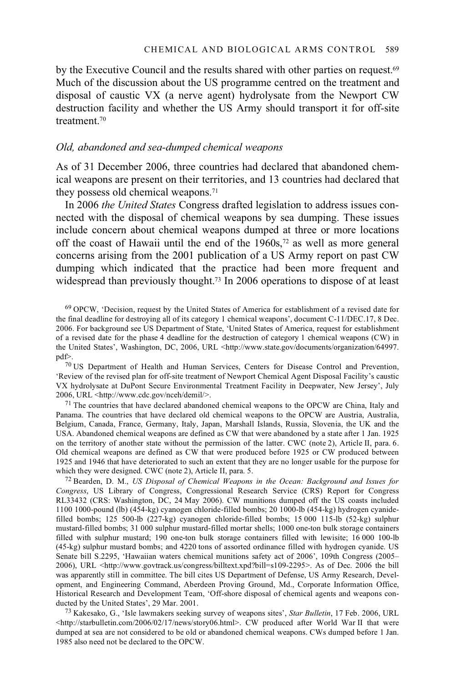by the Executive Council and the results shared with other parties on request.<sup>69</sup> Much of the discussion about the US programme centred on the treatment and disposal of caustic VX (a nerve agent) hydrolysate from the Newport CW destruction facility and whether the US Army should transport it for off-site treatment<sup>70</sup>

### *Old, abandoned and sea-dumped chemical weapons*

As of 31 December 2006, three countries had declared that abandoned chemical weapons are present on their territories, and 13 countries had declared that they possess old chemical weapons.71

In 2006 *the United States* Congress drafted legislation to address issues connected with the disposal of chemical weapons by sea dumping. These issues include concern about chemical weapons dumped at three or more locations off the coast of Hawaii until the end of the 1960s,<sup>72</sup> as well as more general concerns arising from the 2001 publication of a US Army report on past CW dumping which indicated that the practice had been more frequent and widespread than previously thought.<sup>73</sup> In 2006 operations to dispose of at least

69 OPCW, 'Decision, request by the United States of America for establishment of a revised date for the final deadline for destroying all of its category 1 chemical weapons', document C-11/DEC.17, 8 Dec. 2006. For background see US Department of State, 'United States of America, request for establishment of a revised date for the phase 4 deadline for the destruction of category 1 chemical weapons (CW) in the United States', Washington, DC, 2006, URL <http://www.state.gov/documents/organization/64997. pdf>.

70 US Department of Health and Human Services, Centers for Disease Control and Prevention, 'Review of the revised plan for off-site treatment of Newport Chemical Agent Disposal Facility's caustic VX hydrolysate at DuPont Secure Environmental Treatment Facility in Deepwater, New Jersey', July 2006, URL <http://www.cdc.gov/nceh/demil/>.

<sup>71</sup> The countries that have declared abandoned chemical weapons to the OPCW are China, Italy and Panama. The countries that have declared old chemical weapons to the OPCW are Austria, Australia, Belgium, Canada, France, Germany, Italy, Japan, Marshall Islands, Russia, Slovenia, the UK and the USA. Abandoned chemical weapons are defined as CW that were abandoned by a state after 1 Jan. 1925 on the territory of another state without the permission of the latter. CWC (note 2), Article II, para. 6. Old chemical weapons are defined as CW that were produced before 1925 or CW produced between 1925 and 1946 that have deteriorated to such an extent that they are no longer usable for the purpose for which they were designed. CWC (note 2), Article II, para. 5.

72 Bearden, D. M., *US Disposal of Chemical Weapons in the Ocean: Background and Issues for Congress*, US Library of Congress, Congressional Research Service (CRS) Report for Congress RL33432 (CRS: Washington, DC, 24 May 2006). CW munitions dumped off the US coasts included 1100 1000-pound (lb) (454-kg) cyanogen chloride-filled bombs; 20 1000-lb (454-kg) hydrogen cyanidefilled bombs; 125 500-lb (227-kg) cyanogen chloride-filled bombs; 15 000 115-lb (52-kg) sulphur mustard-filled bombs; 31 000 sulphur mustard-filled mortar shells; 1000 one-ton bulk storage containers filled with sulphur mustard; 190 one-ton bulk storage containers filled with lewisite; 16 000 100-lb (45-kg) sulphur mustard bombs; and 4220 tons of assorted ordinance filled with hydrogen cyanide. US Senate bill S.2295, 'Hawaiian waters chemical munitions safety act of 2006', 109th Congress (2005– 2006), URL <http://www.govtrack.us/congress/billtext.xpd?bill=s109-2295>. As of Dec. 2006 the bill was apparently still in committee. The bill cites US Department of Defense, US Army Research, Development, and Engineering Command, Aberdeen Proving Ground, Md., Corporate Information Office, Historical Research and Development Team, 'Off-shore disposal of chemical agents and weapons conducted by the United States', 29 Mar. 2001.

73 Kakesako, G., 'Isle lawmakers seeking survey of weapons sites', *Star Bulletin*, 17 Feb. 2006, URL <http://starbulletin.com/2006/02/17/news/story06.html>. CW produced after World War II that were dumped at sea are not considered to be old or abandoned chemical weapons. CWs dumped before 1 Jan. 1985 also need not be declared to the OPCW.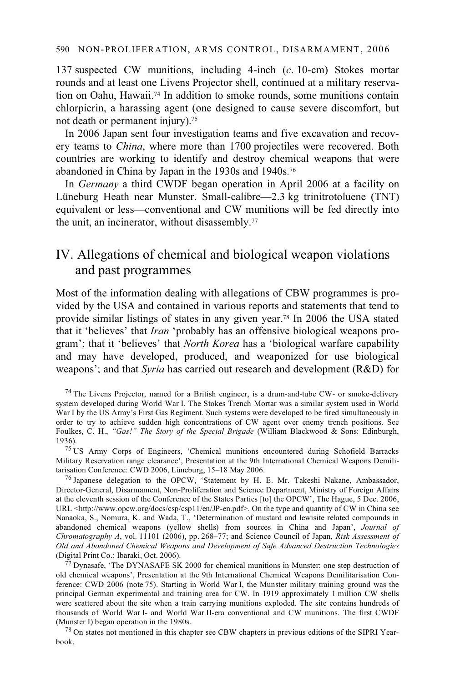137 suspected CW munitions, including 4-inch (*c*. 10-cm) Stokes mortar rounds and at least one Livens Projector shell, continued at a military reservation on Oahu, Hawaii.74 In addition to smoke rounds, some munitions contain chlorpicrin, a harassing agent (one designed to cause severe discomfort, but not death or permanent injury).75

In 2006 Japan sent four investigation teams and five excavation and recovery teams to *China*, where more than 1700 projectiles were recovered. Both countries are working to identify and destroy chemical weapons that were abandoned in China by Japan in the 1930s and 1940s.76

In *Germany* a third CWDF began operation in April 2006 at a facility on Lüneburg Heath near Munster. Small-calibre—2.3 kg trinitrotoluene (TNT) equivalent or less—conventional and CW munitions will be fed directly into the unit, an incinerator, without disassembly.77

## IV. Allegations of chemical and biological weapon violations and past programmes

Most of the information dealing with allegations of CBW programmes is provided by the USA and contained in various reports and statements that tend to provide similar listings of states in any given year.78 In 2006 the USA stated that it 'believes' that *Iran* 'probably has an offensive biological weapons program'; that it 'believes' that *North Korea* has a 'biological warfare capability and may have developed, produced, and weaponized for use biological weapons'; and that *Syria* has carried out research and development (R&D) for

<sup>75</sup> US Army Corps of Engineers, 'Chemical munitions encountered during Schofield Barracks Military Reservation range clearance', Presentation at the 9th International Chemical Weapons Demilitarisation Conference: CWD 2006, Lüneburg, 15–18 May 2006.

 $76$  Japanese delegation to the OPCW, 'Statement by H. E. Mr. Takeshi Nakane, Ambassador, Director-General, Disarmament, Non-Proliferation and Science Department, Ministry of Foreign Affairs at the eleventh session of the Conference of the States Parties [to] the OPCW', The Hague, 5 Dec. 2006, URL <http://www.opcw.org/docs/csp/csp11/en/JP-en.pdf>. On the type and quantity of CW in China see Nanaoka, S., Nomura, K. and Wada, T., 'Determination of mustard and lewisite related compounds in abandoned chemical weapons (yellow shells) from sources in China and Japan', *Journal of Chromatography A*, vol. 11101 (2006), pp. 268–77; and Science Council of Japan, *Risk Assessment of Old and Abandoned Chemical Weapons and Development of Safe Advanced Destruction Technologies* (Digital Print Co.: Ibaraki, Oct. 2006). 77 Dynasafe, 'The DYNASAFE SK 2000 for chemical munitions in Munster: one step destruction of

old chemical weapons', Presentation at the 9th International Chemical Weapons Demilitarisation Conference: CWD 2006 (note 75). Starting in World War I, the Munster military training ground was the principal German experimental and training area for CW. In 1919 approximately 1 million CW shells were scattered about the site when a train carrying munitions exploded. The site contains hundreds of thousands of World War I- and World War II-era conventional and CW munitions. The first CWDF

 $^{78}$  On states not mentioned in this chapter see CBW chapters in previous editions of the SIPRI Yearbook.

 $74$  The Livens Projector, named for a British engineer, is a drum-and-tube CW- or smoke-delivery system developed during World War I. The Stokes Trench Mortar was a similar system used in World War I by the US Army's First Gas Regiment. Such systems were developed to be fired simultaneously in order to try to achieve sudden high concentrations of CW agent over enemy trench positions. See Foulkes, C. H., *"Gas!" The Story of the Special Brigade* (William Blackwood & Sons: Edinburgh,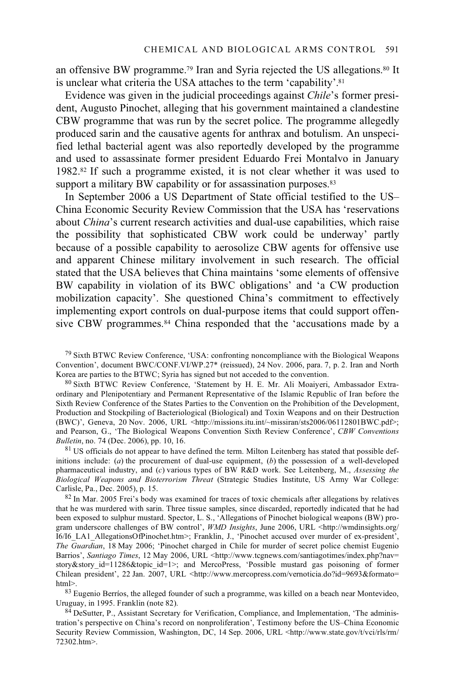an offensive BW programme.79 Iran and Syria rejected the US allegations.80 It is unclear what criteria the USA attaches to the term 'capability'.<sup>81</sup>

Evidence was given in the judicial proceedings against *Chile*'s former president, Augusto Pinochet, alleging that his government maintained a clandestine CBW programme that was run by the secret police. The programme allegedly produced sarin and the causative agents for anthrax and botulism. An unspecified lethal bacterial agent was also reportedly developed by the programme and used to assassinate former president Eduardo Frei Montalvo in January 1982.82 If such a programme existed, it is not clear whether it was used to support a military BW capability or for assassination purposes.<sup>83</sup>

In September 2006 a US Department of State official testified to the US– China Economic Security Review Commission that the USA has 'reservations about *China*'s current research activities and dual-use capabilities, which raise the possibility that sophisticated CBW work could be underway' partly because of a possible capability to aerosolize CBW agents for offensive use and apparent Chinese military involvement in such research. The official stated that the USA believes that China maintains 'some elements of offensive BW capability in violation of its BWC obligations' and 'a CW production mobilization capacity'. She questioned China's commitment to effectively implementing export controls on dual-purpose items that could support offensive CBW programmes.<sup>84</sup> China responded that the 'accusations made by a

79 Sixth BTWC Review Conference, 'USA: confronting noncompliance with the Biological Weapons Convention', document BWC/CONF.VI/WP.27\* (reissued), 24 Nov. 2006, para. 7, p. 2. Iran and North

<sup>80</sup> Sixth BTWC Review Conference, 'Statement by H. E. Mr. Ali Moaiyeri, Ambassador Extraordinary and Plenipotentiary and Permanent Representative of the Islamic Republic of Iran before the Sixth Review Conference of the States Parties to the Convention on the Prohibition of the Development, Production and Stockpiling of Bacteriological (Biological) and Toxin Weapons and on their Destruction (BWC)', Geneva, 20 Nov. 2006, URL <http://missions.itu.int/~missiran/sts2006/06112801BWC.pdf>; and Pearson, G., 'The Biological Weapons Convention Sixth Review Conference', *CBW Conventions Bulletin*, no. 74 (Dec. 2006), pp. 10, 16.

<sup>81</sup> US officials do not appear to have defined the term. Milton Leitenberg has stated that possible definitions include: (*a*) the procurement of dual-use equipment, (*b*) the possession of a well-developed pharmaceutical industry, and (*c*) various types of BW R&D work. See Leitenberg, M., *Assessing the Biological Weapons and Bioterrorism Threat* (Strategic Studies Institute, US Army War College:

 $82$  In Mar. 2005 Frei's body was examined for traces of toxic chemicals after allegations by relatives that he was murdered with sarin. Three tissue samples, since discarded, reportedly indicated that he had been exposed to sulphur mustard. Spector, L. S., 'Allegations of Pinochet biological weapons (BW) program underscore challenges of BW control', *WMD Insights*, June 2006, URL <http://wmdinsights.org/ I6/I6\_LA1\_AllegationsOfPinochet.htm>; Franklin, J., 'Pinochet accused over murder of ex-president', *The Guardian*, 18 May 2006; 'Pinochet charged in Chile for murder of secret police chemist Eugenio Barrios', *Santiago Times*, 12 May 2006, URL <http://www.tcgnews.com/santiagotimes/index.php?nav= story&story id=11286&topic id=1>; and MercoPress, 'Possible mustard gas poisoning of former Chilean president', 22 Jan. 2007, URL <http://www.mercopress.com/vernoticia.do?id=9693&formato= html>.

<sup>83</sup> Eugenio Berríos, the alleged founder of such a programme, was killed on a beach near Montevideo, Uruguay, in 1995. Franklin (note 82).

84 DeSutter, P., Assistant Secretary for Verification, Compliance, and Implementation, 'The administration's perspective on China's record on nonproliferation', Testimony before the US–China Economic Security Review Commission, Washington, DC, 14 Sep. 2006, URL <http://www.state.gov/t/vci/rls/rm/ 72302.htm>.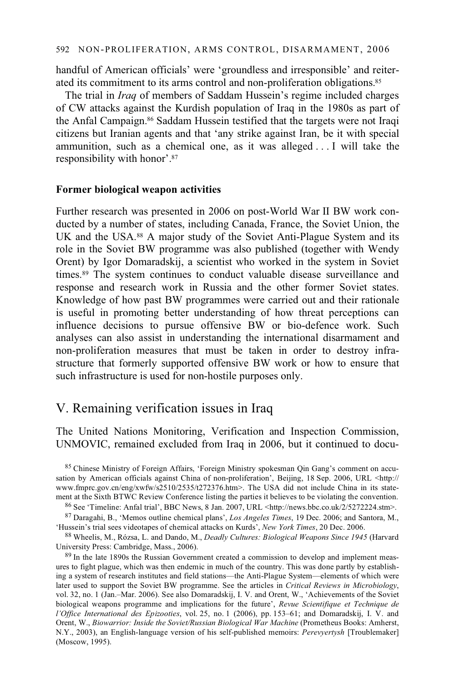handful of American officials' were 'groundless and irresponsible' and reiterated its commitment to its arms control and non-proliferation obligations.<sup>85</sup>

The trial in *Iraq* of members of Saddam Hussein's regime included charges of CW attacks against the Kurdish population of Iraq in the 1980s as part of the Anfal Campaign.86 Saddam Hussein testified that the targets were not Iraqi citizens but Iranian agents and that 'any strike against Iran, be it with special ammunition, such as a chemical one, as it was alleged . . . I will take the responsibility with honor'.87

### **Former biological weapon activities**

Further research was presented in 2006 on post-World War II BW work conducted by a number of states, including Canada, France, the Soviet Union, the UK and the USA.88 A major study of the Soviet Anti-Plague System and its role in the Soviet BW programme was also published (together with Wendy Orent) by Igor Domaradskij, a scientist who worked in the system in Soviet times.89 The system continues to conduct valuable disease surveillance and response and research work in Russia and the other former Soviet states. Knowledge of how past BW programmes were carried out and their rationale is useful in promoting better understanding of how threat perceptions can influence decisions to pursue offensive BW or bio-defence work. Such analyses can also assist in understanding the international disarmament and non-proliferation measures that must be taken in order to destroy infrastructure that formerly supported offensive BW work or how to ensure that such infrastructure is used for non-hostile purposes only.

# V. Remaining verification issues in Iraq

The United Nations Monitoring, Verification and Inspection Commission, UNMOVIC, remained excluded from Iraq in 2006, but it continued to docu-

<sup>85</sup> Chinese Ministry of Foreign Affairs, 'Foreign Ministry spokesman Qin Gang's comment on accusation by American officials against China of non-proliferation', Beijing, 18 Sep. 2006, URL <http:// www.fmprc.gov.cn/eng/xwfw/s2510/2535/t272376.htm>. The USA did not include China in its statement at the Sixth BTWC Review Conference listing the parties it believes to be violating the convention.

86 See 'Timeline: Anfal trial', BBC News, 8 Jan. 2007, URL <http://news.bbc.co.uk/2/5272224.stm>.

87 Daragahi, B., 'Memos outline chemical plans', *Los Angeles Times*, 19 Dec. 2006; and Santora, M., 'Hussein's trial sees videotapes of chemical attacks on Kurds', *New York Times*, 20 Dec. 2006.

88 Wheelis, M., Rózsa, L. and Dando, M., *Deadly Cultures: Biological Weapons Since 1945* (Harvard

 $89$  In the late 1890s the Russian Government created a commission to develop and implement measures to fight plague, which was then endemic in much of the country. This was done partly by establishing a system of research institutes and field stations—the Anti-Plague System—elements of which were later used to support the Soviet BW programme. See the articles in *Critical Reviews in Microbiology*, vol. 32, no. 1 (Jan.–Mar. 2006). See also Domaradskij, I. V. and Orent, W., 'Achievements of the Soviet biological weapons programme and implications for the future', *Revue Scientifique et Technique de l'Office International des Epizooties*, vol. 25, no. 1 (2006), pp. 153–61; and Domaradskij, I. V. and Orent, W., *Biowarrior: Inside the Soviet/Russian Biological War Machine* (Prometheus Books: Amherst, N.Y., 2003), an English-language version of his self-published memoirs: *Perevyertysh* [Troublemaker] (Moscow, 1995).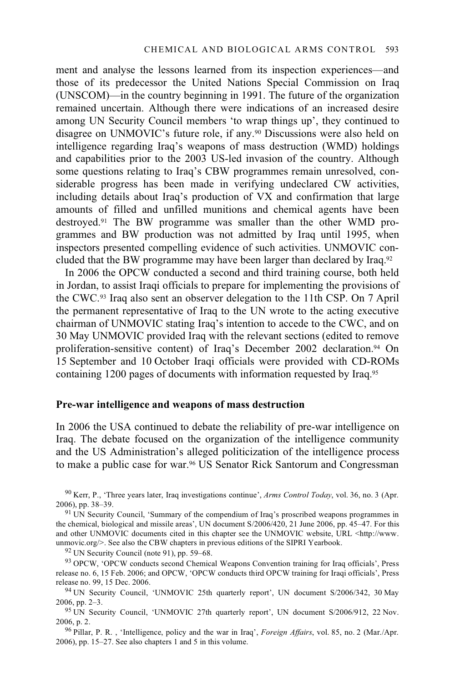ment and analyse the lessons learned from its inspection experiences—and those of its predecessor the United Nations Special Commission on Iraq (UNSCOM)—in the country beginning in 1991. The future of the organization remained uncertain. Although there were indications of an increased desire among UN Security Council members 'to wrap things up', they continued to disagree on UNMOVIC's future role, if any.90 Discussions were also held on intelligence regarding Iraq's weapons of mass destruction (WMD) holdings and capabilities prior to the 2003 US-led invasion of the country. Although some questions relating to Iraq's CBW programmes remain unresolved, considerable progress has been made in verifying undeclared CW activities, including details about Iraq's production of VX and confirmation that large amounts of filled and unfilled munitions and chemical agents have been destroyed.91 The BW programme was smaller than the other WMD programmes and BW production was not admitted by Iraq until 1995, when inspectors presented compelling evidence of such activities. UNMOVIC concluded that the BW programme may have been larger than declared by Iraq.92

In 2006 the OPCW conducted a second and third training course, both held in Jordan, to assist Iraqi officials to prepare for implementing the provisions of the CWC.93 Iraq also sent an observer delegation to the 11th CSP. On 7 April the permanent representative of Iraq to the UN wrote to the acting executive chairman of UNMOVIC stating Iraq's intention to accede to the CWC, and on 30 May UNMOVIC provided Iraq with the relevant sections (edited to remove proliferation-sensitive content) of Iraq's December 2002 declaration.<sup>94</sup> On 15 September and 10 October Iraqi officials were provided with CD-ROMs containing 1200 pages of documents with information requested by Iraq.95

### **Pre-war intelligence and weapons of mass destruction**

In 2006 the USA continued to debate the reliability of pre-war intelligence on Iraq. The debate focused on the organization of the intelligence community and the US Administration's alleged politicization of the intelligence process to make a public case for war.96 US Senator Rick Santorum and Congressman

90 Kerr, P., 'Three years later, Iraq investigations continue', *Arms Control Today*, vol. 36, no. 3 (Apr. 2006), pp. 38–39. 91 UN Security Council, 'Summary of the compendium of Iraq's proscribed weapons programmes in

the chemical, biological and missile areas', UN document S/2006/420, 21 June 2006, pp. 45–47. For this and other UNMOVIC documents cited in this chapter see the UNMOVIC website, URL <http://www. unmovic.org/>. See also the CBW chapters in previous editions of the SIPRI Yearbook. <sup>92</sup> UN Security Council (note 91), pp. 59–68.

93 OPCW, 'OPCW conducts second Chemical Weapons Convention training for Iraq officials', Press release no. 6, 15 Feb. 2006; and OPCW, 'OPCW conducts third OPCW training for Iraqi officials', Press

<sup>94</sup> UN Security Council, 'UNMOVIC 25th quarterly report', UN document S/2006/342, 30 May 2006, pp. 2–3.

95 UN Security Council, 'UNMOVIC 27th quarterly report', UN document S/2006/912, 22 Nov. 2006, p. 2. 96 Pillar, P. R. , 'Intelligence, policy and the war in Iraq', *Foreign Affairs*, vol. 85, no. 2 (Mar./Apr.

2006), pp. 15–27. See also chapters 1 and 5 in this volume.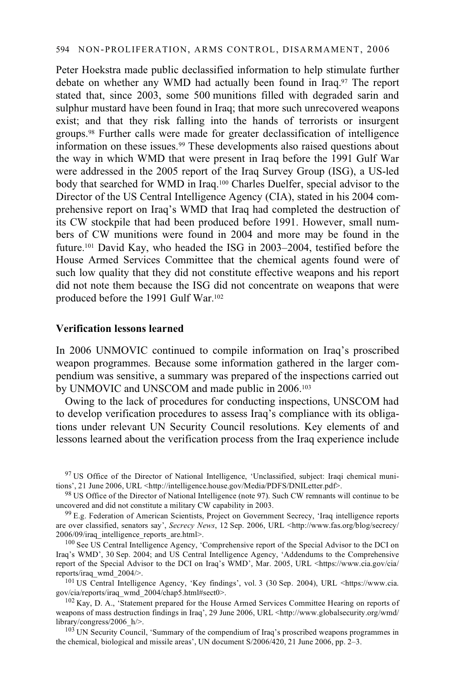Peter Hoekstra made public declassified information to help stimulate further debate on whether any WMD had actually been found in Iraq.<sup>97</sup> The report stated that, since 2003, some 500 munitions filled with degraded sarin and sulphur mustard have been found in Iraq; that more such unrecovered weapons exist; and that they risk falling into the hands of terrorists or insurgent groups.98 Further calls were made for greater declassification of intelligence information on these issues.99 These developments also raised questions about the way in which WMD that were present in Iraq before the 1991 Gulf War were addressed in the 2005 report of the Iraq Survey Group (ISG), a US-led body that searched for WMD in Iraq.100 Charles Duelfer, special advisor to the Director of the US Central Intelligence Agency (CIA), stated in his 2004 comprehensive report on Iraq's WMD that Iraq had completed the destruction of its CW stockpile that had been produced before 1991. However, small numbers of CW munitions were found in 2004 and more may be found in the future.101 David Kay, who headed the ISG in 2003–2004, testified before the House Armed Services Committee that the chemical agents found were of such low quality that they did not constitute effective weapons and his report did not note them because the ISG did not concentrate on weapons that were produced before the 1991 Gulf War.102

### **Verification lessons learned**

In 2006 UNMOVIC continued to compile information on Iraq's proscribed weapon programmes. Because some information gathered in the larger compendium was sensitive, a summary was prepared of the inspections carried out by UNMOVIC and UNSCOM and made public in 2006.<sup>103</sup>

Owing to the lack of procedures for conducting inspections, UNSCOM had to develop verification procedures to assess Iraq's compliance with its obligations under relevant UN Security Council resolutions. Key elements of and lessons learned about the verification process from the Iraq experience include

<sup>97</sup> US Office of the Director of National Intelligence, 'Unclassified, subject: Iraqi chemical munitions', 21 June 2006, URL <http://intelligence.house.gov/Media/PDFS/DNILetter.pdf>.

98 US Office of the Director of National Intelligence (note 97). Such CW remnants will continue to be uncovered and did not constitute a military CW capability in 2003.

99 E.g. Federation of American Scientists, Project on Government Secrecy, 'Iraq intelligence reports are over classified, senators say', *Secrecy News*, 12 Sep. 2006, URL <http://www.fas.org/blog/secrecy/ 2006/09/iraq\_intelligence\_reports\_are.html>.

<sup>100</sup> See US Central Intelligence Agency, 'Comprehensive report of the Special Advisor to the DCI on Iraq's WMD', 30 Sep. 2004; and US Central Intelligence Agency, 'Addendums to the Comprehensive report of the Special Advisor to the DCI on Iraq's WMD', Mar. 2005, URL <https://www.cia.gov/cia/<br>reports/iraq wmd 2004/>.

<sup>101</sup> US Central Intelligence Agency, 'Key findings', vol. 3 (30 Sep. 2004), URL <https://www.cia. gov/cia/reports/iraq\_wmd\_2004/chap5.html#sect0>.<br><sup>102</sup> Kay, D. A., 'Statement prepared for the House Armed Services Committee Hearing on reports of

weapons of mass destruction findings in Iraq', 29 June 2006, URL <http://www.globalsecurity.org/wmd/ library/congress/2006\_h/>.

<sup>103</sup> UN Security Council, 'Summary of the compendium of Iraq's proscribed weapons programmes in the chemical, biological and missile areas', UN document S/2006/420, 21 June 2006, pp. 2–3.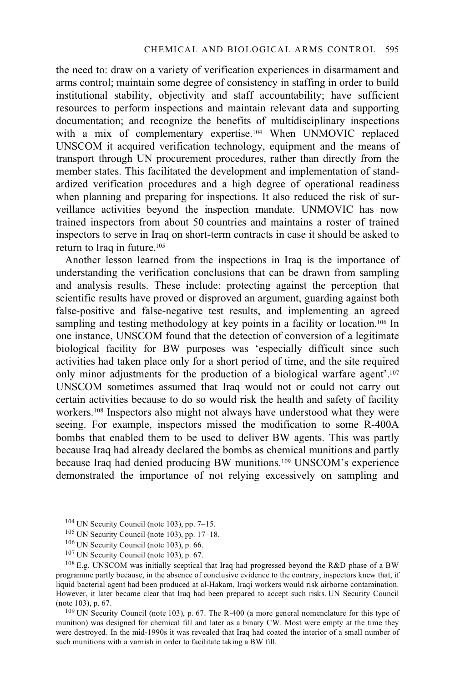the need to: draw on a variety of verification experiences in disarmament and arms control; maintain some degree of consistency in staffing in order to build institutional stability, objectivity and staff accountability; have sufficient resources to perform inspections and maintain relevant data and supporting documentation; and recognize the benefits of multidisciplinary inspections with a mix of complementary expertise.<sup>104</sup> When UNMOVIC replaced UNSCOM it acquired verification technology, equipment and the means of transport through UN procurement procedures, rather than directly from the member states. This facilitated the development and implementation of standardized verification procedures and a high degree of operational readiness when planning and preparing for inspections. It also reduced the risk of surveillance activities beyond the inspection mandate. UNMOVIC has now trained inspectors from about 50 countries and maintains a roster of trained inspectors to serve in Iraq on short-term contracts in case it should be asked to return to Iraq in future.<sup>105</sup>

Another lesson learned from the inspections in Iraq is the importance of understanding the verification conclusions that can be drawn from sampling and analysis results. These include: protecting against the perception that scientific results have proved or disproved an argument, guarding against both false-positive and false-negative test results, and implementing an agreed sampling and testing methodology at key points in a facility or location.<sup>106</sup> In one instance, UNSCOM found that the detection of conversion of a legitimate biological facility for BW purposes was 'especially difficult since such activities had taken place only for a short period of time, and the site required only minor adjustments for the production of a biological warfare agent'.107 UNSCOM sometimes assumed that Iraq would not or could not carry out certain activities because to do so would risk the health and safety of facility workers.108 Inspectors also might not always have understood what they were seeing. For example, inspectors missed the modification to some R-400A bombs that enabled them to be used to deliver BW agents. This was partly because Iraq had already declared the bombs as chemical munitions and partly because Iraq had denied producing BW munitions.109 UNSCOM's experience demonstrated the importance of not relying excessively on sampling and

- 
- 
- 

<sup>104</sup> UN Security Council (note 103), pp. 7–15.<br><sup>105</sup> UN Security Council (note 103), pp. 17–18.<br><sup>106</sup> UN Security Council (note 103), p. 66.<br><sup>107</sup> UN Security Council (note 103), p. 67.<br><sup>108</sup> E.g. UNSCOM was initially sce programme partly because, in the absence of conclusive evidence to the contrary, inspectors knew that, if liquid bacterial agent had been produced at al-Hakam, Iraqi workers would risk airborne contamination. However, it later became clear that Iraq had been prepared to accept such risks. UN Security Council (note 103), p. 67. 109 UN Security Council (note 103), p. 67. The R-400 (a more general nomenclature for this type of

munition) was designed for chemical fill and later as a binary CW. Most were empty at the time they were destroyed. In the mid-1990s it was revealed that Iraq had coated the interior of a small number of such munitions with a varnish in order to facilitate taking a BW fill.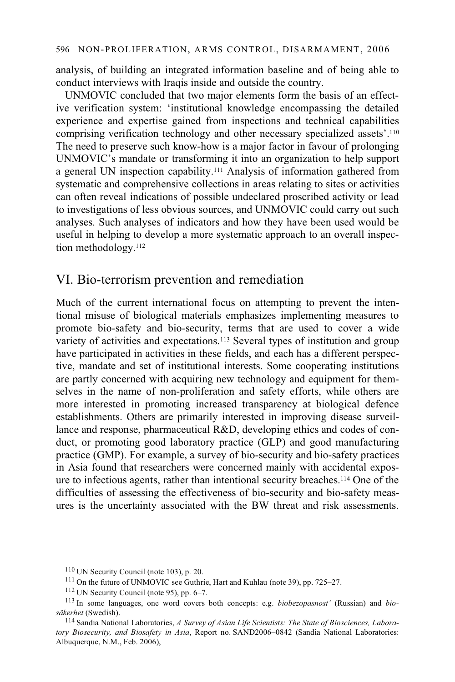analysis, of building an integrated information baseline and of being able to conduct interviews with Iraqis inside and outside the country.

UNMOVIC concluded that two major elements form the basis of an effective verification system: 'institutional knowledge encompassing the detailed experience and expertise gained from inspections and technical capabilities comprising verification technology and other necessary specialized assets'.110 The need to preserve such know-how is a major factor in favour of prolonging UNMOVIC's mandate or transforming it into an organization to help support a general UN inspection capability.111 Analysis of information gathered from systematic and comprehensive collections in areas relating to sites or activities can often reveal indications of possible undeclared proscribed activity or lead to investigations of less obvious sources, and UNMOVIC could carry out such analyses. Such analyses of indicators and how they have been used would be useful in helping to develop a more systematic approach to an overall inspection methodology.112

### VI. Bio-terrorism prevention and remediation

Much of the current international focus on attempting to prevent the intentional misuse of biological materials emphasizes implementing measures to promote bio-safety and bio-security, terms that are used to cover a wide variety of activities and expectations.113 Several types of institution and group have participated in activities in these fields, and each has a different perspective, mandate and set of institutional interests. Some cooperating institutions are partly concerned with acquiring new technology and equipment for themselves in the name of non-proliferation and safety efforts, while others are more interested in promoting increased transparency at biological defence establishments. Others are primarily interested in improving disease surveillance and response, pharmaceutical R&D, developing ethics and codes of conduct, or promoting good laboratory practice (GLP) and good manufacturing practice (GMP). For example, a survey of bio-security and bio-safety practices in Asia found that researchers were concerned mainly with accidental exposure to infectious agents, rather than intentional security breaches.114 One of the difficulties of assessing the effectiveness of bio-security and bio-safety measures is the uncertainty associated with the BW threat and risk assessments.

<sup>&</sup>lt;sup>110</sup> UN Security Council (note 103), p. 20.<br><sup>111</sup> On the future of UNMOVIC see Guthrie, Hart and Kuhlau (note 39), pp. 725–27.<br><sup>112</sup> UN Security Council (note 95), pp. 6–7.

<sup>113</sup> In some languages, one word covers both concepts: e.g. *biobezopasnost'* (Russian) and *biosäkerhet* (Swedish).

<sup>114</sup> Sandia National Laboratories, *A Survey of Asian Life Scientists: The State of Biosciences, Laboratory Biosecurity, and Biosafety in Asia*, Report no. SAND2006–0842 (Sandia National Laboratories: Albuquerque, N.M., Feb. 2006),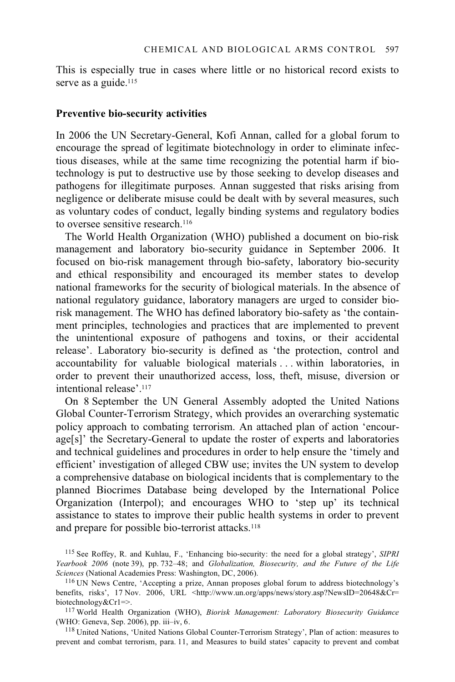This is especially true in cases where little or no historical record exists to serve as a guide.<sup>115</sup>

#### **Preventive bio-security activities**

In 2006 the UN Secretary-General, Kofi Annan, called for a global forum to encourage the spread of legitimate biotechnology in order to eliminate infectious diseases, while at the same time recognizing the potential harm if biotechnology is put to destructive use by those seeking to develop diseases and pathogens for illegitimate purposes. Annan suggested that risks arising from negligence or deliberate misuse could be dealt with by several measures, such as voluntary codes of conduct, legally binding systems and regulatory bodies to oversee sensitive research.116

The World Health Organization (WHO) published a document on bio-risk management and laboratory bio-security guidance in September 2006. It focused on bio-risk management through bio-safety, laboratory bio-security and ethical responsibility and encouraged its member states to develop national frameworks for the security of biological materials. In the absence of national regulatory guidance, laboratory managers are urged to consider biorisk management. The WHO has defined laboratory bio-safety as 'the containment principles, technologies and practices that are implemented to prevent the unintentional exposure of pathogens and toxins, or their accidental release'. Laboratory bio-security is defined as 'the protection, control and accountability for valuable biological materials . . . within laboratories, in order to prevent their unauthorized access, loss, theft, misuse, diversion or intentional release'.117

On 8 September the UN General Assembly adopted the United Nations Global Counter-Terrorism Strategy, which provides an overarching systematic policy approach to combating terrorism. An attached plan of action 'encourage[s]' the Secretary-General to update the roster of experts and laboratories and technical guidelines and procedures in order to help ensure the 'timely and efficient' investigation of alleged CBW use; invites the UN system to develop a comprehensive database on biological incidents that is complementary to the planned Biocrimes Database being developed by the International Police Organization (Interpol); and encourages WHO to 'step up' its technical assistance to states to improve their public health systems in order to prevent and prepare for possible bio-terrorist attacks.<sup>118</sup>

<sup>115</sup> See Roffey, R. and Kuhlau, F., 'Enhancing bio-security: the need for a global strategy', *SIPRI Yearbook 2006* (note 39), pp. 732–48; and *Globalization, Biosecurity, and the Future of the Life* 

<sup>&</sup>lt;sup>116</sup> UN News Centre, 'Accepting a prize, Annan proposes global forum to address biotechnology's benefits, risks', 17 Nov. 2006, URL <http://www.un.org/apps/news/story.asp?NewsID=20648&Cr= biotechnology&Cr1=>. 117 World Health Organization (WHO), *Biorisk Management: Laboratory Biosecurity Guidance*

<sup>(</sup>WHO: Geneva, Sep. 2006), pp. iii–iv, 6.

<sup>118</sup> United Nations, 'United Nations Global Counter-Terrorism Strategy', Plan of action: measures to prevent and combat terrorism, para. 11, and Measures to build states' capacity to prevent and combat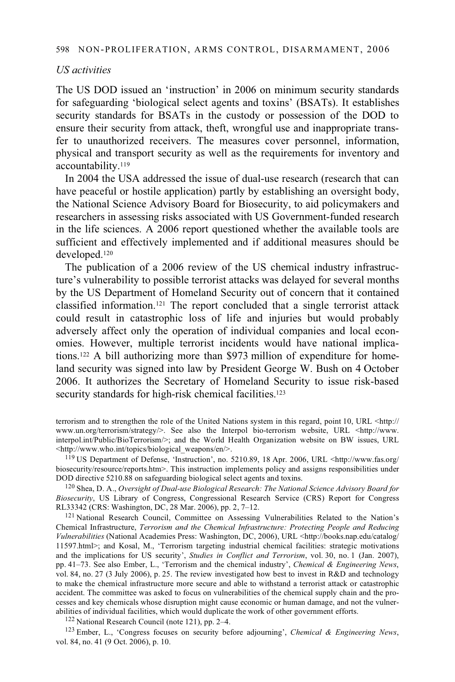### *US activities*

The US DOD issued an 'instruction' in 2006 on minimum security standards for safeguarding 'biological select agents and toxins' (BSATs). It establishes security standards for BSATs in the custody or possession of the DOD to ensure their security from attack, theft, wrongful use and inappropriate transfer to unauthorized receivers. The measures cover personnel, information, physical and transport security as well as the requirements for inventory and accountability.119

In 2004 the USA addressed the issue of dual-use research (research that can have peaceful or hostile application) partly by establishing an oversight body, the National Science Advisory Board for Biosecurity, to aid policymakers and researchers in assessing risks associated with US Government-funded research in the life sciences. A 2006 report questioned whether the available tools are sufficient and effectively implemented and if additional measures should be developed.120

The publication of a 2006 review of the US chemical industry infrastructure's vulnerability to possible terrorist attacks was delayed for several months by the US Department of Homeland Security out of concern that it contained classified information.121 The report concluded that a single terrorist attack could result in catastrophic loss of life and injuries but would probably adversely affect only the operation of individual companies and local economies. However, multiple terrorist incidents would have national implications.122 A bill authorizing more than \$973 million of expenditure for homeland security was signed into law by President George W. Bush on 4 October 2006. It authorizes the Secretary of Homeland Security to issue risk-based security standards for high-risk chemical facilities.<sup>123</sup>

terrorism and to strengthen the role of the United Nations system in this regard, point 10, URL <http:// www.un.org/terrorism/strategy/>. See also the Interpol bio-terrorism website, URL <http://www. interpol.int/Public/BioTerrorism/>; and the World Health Organization website on BW issues, URL <http://www.who.int/topics/biological weapons/en/>.

<sup>119</sup> US Department of Defense, 'Instruction', no. 5210.89, 18 Apr. 2006, URL <http://www.fas.org/ biosecurity/resource/reports.htm>. This instruction implements policy and assigns responsibilities under DOD directive 5210.88 on safeguarding biological select agents and toxins.

<sup>120</sup> Shea, D. A., *Oversight of Dual-use Biological Research: The National Science Advisory Board for Biosecurity*, US Library of Congress, Congressional Research Service (CRS) Report for Congress RL33342 (CRS: Washington, DC, 28 Mar. 2006), pp. 2, 7–12.

<sup>121</sup> National Research Council, Committee on Assessing Vulnerabilities Related to the Nation's Chemical Infrastructure, *Terrorism and the Chemical Infrastructure: Protecting People and Reducing Vulnerabilities* (National Academies Press: Washington, DC, 2006), URL <http://books.nap.edu/catalog/ 11597.html>; and Kosal, M., 'Terrorism targeting industrial chemical facilities: strategic motivations and the implications for US security', *Studies in Conflict and Terrorism*, vol. 30, no. 1 (Jan. 2007), pp. 41–73. See also Ember, L., 'Terrorism and the chemical industry', *Chemical & Engineering News*, vol. 84, no. 27 (3 July 2006), p. 25. The review investigated how best to invest in R&D and technology to make the chemical infrastructure more secure and able to withstand a terrorist attack or catastrophic accident. The committee was asked to focus on vulnerabilities of the chemical supply chain and the processes and key chemicals whose disruption might cause economic or human damage, and not the vulner-

abilities of individual facilities, which would duplicate the work of other government efforts.<br><sup>122</sup> National Research Council (note 121), pp. 2–4.<br><sup>123</sup> Ember, L., 'Congress focuses on security before adjourning', *Chem* vol. 84, no. 41 (9 Oct. 2006), p. 10.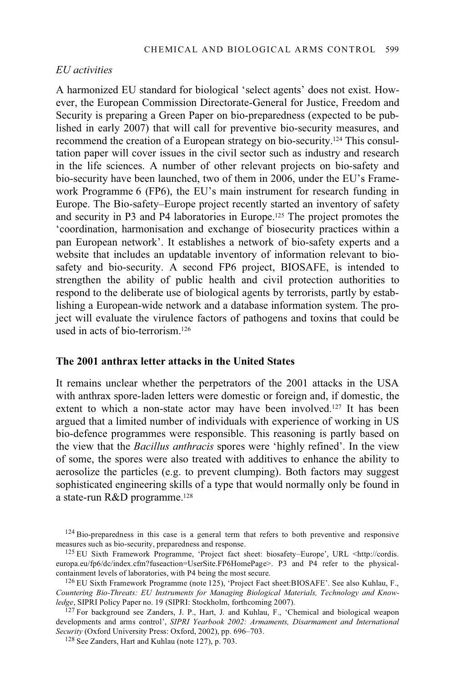### *EU activities*

A harmonized EU standard for biological 'select agents' does not exist. However, the European Commission Directorate-General for Justice, Freedom and Security is preparing a Green Paper on bio-preparedness (expected to be published in early 2007) that will call for preventive bio-security measures, and recommend the creation of a European strategy on bio-security.124 This consultation paper will cover issues in the civil sector such as industry and research in the life sciences. A number of other relevant projects on bio-safety and bio-security have been launched, two of them in 2006, under the EU's Framework Programme 6 (FP6), the EU's main instrument for research funding in Europe. The Bio-safety–Europe project recently started an inventory of safety and security in P3 and P4 laboratories in Europe.125 The project promotes the 'coordination, harmonisation and exchange of biosecurity practices within a pan European network'. It establishes a network of bio-safety experts and a website that includes an updatable inventory of information relevant to biosafety and bio-security. A second FP6 project, BIOSAFE, is intended to strengthen the ability of public health and civil protection authorities to respond to the deliberate use of biological agents by terrorists, partly by establishing a European-wide network and a database information system. The project will evaluate the virulence factors of pathogens and toxins that could be used in acts of bio-terrorism.126

### **The 2001 anthrax letter attacks in the United States**

It remains unclear whether the perpetrators of the 2001 attacks in the USA with anthrax spore-laden letters were domestic or foreign and, if domestic, the extent to which a non-state actor may have been involved.<sup>127</sup> It has been argued that a limited number of individuals with experience of working in US bio-defence programmes were responsible. This reasoning is partly based on the view that the *Bacillus anthracis* spores were 'highly refined'. In the view of some, the spores were also treated with additives to enhance the ability to aerosolize the particles (e.g. to prevent clumping). Both factors may suggest sophisticated engineering skills of a type that would normally only be found in a state-run R&D programme.128

 $124$  Bio-preparedness in this case is a general term that refers to both preventive and responsive measures such as bio-security, preparedness and response.

 $^{125}$  EU Sixth Framework Programme, 'Project fact sheet: biosafety–Europe', URL <http://cordis. europa.eu/fp6/dc/index.cfm?fuseaction=UserSite.FP6HomePage>. P3 and P4 refer to the physicalcontainment levels of laboratories, with P4 being the most secure.

 $126$  EU Sixth Framework Programme (note 125), 'Project Fact sheet:BIOSAFE'. See also Kuhlau, F., *Countering Bio-Threats: EU Instruments for Managing Biological Materials, Technology and Knowledge*, SIPRI Policy Paper no. 19 (SIPRI: Stockholm, forthcoming 2007).

<sup>&</sup>lt;sup>127</sup> For background see Zanders, J. P., Hart, J. and Kuhlau, F., 'Chemical and biological weapon developments and arms control', *SIPRI Yearbook 2002: Armaments, Disarmament and International Security* (Oxford University Press: Oxford, 2002), pp. 696–703.<br><sup>128</sup> See Zanders, Hart and Kuhlau (note 127), p. 703.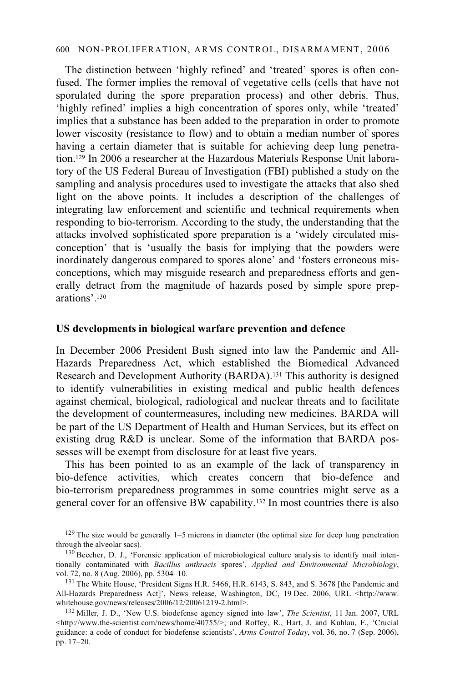### 600 NON-PROLIFERATION, ARMS CONTROL, DISARMAMENT, 2006

The distinction between 'highly refined' and 'treated' spores is often confused. The former implies the removal of vegetative cells (cells that have not sporulated during the spore preparation process) and other debris. Thus, 'highly refined' implies a high concentration of spores only, while 'treated' implies that a substance has been added to the preparation in order to promote lower viscosity (resistance to flow) and to obtain a median number of spores having a certain diameter that is suitable for achieving deep lung penetration.129 In 2006 a researcher at the Hazardous Materials Response Unit laboratory of the US Federal Bureau of Investigation (FBI) published a study on the sampling and analysis procedures used to investigate the attacks that also shed light on the above points. It includes a description of the challenges of integrating law enforcement and scientific and technical requirements when responding to bio-terrorism. According to the study, the understanding that the attacks involved sophisticated spore preparation is a 'widely circulated misconception' that is 'usually the basis for implying that the powders were inordinately dangerous compared to spores alone' and 'fosters erroneous misconceptions, which may misguide research and preparedness efforts and generally detract from the magnitude of hazards posed by simple spore preparations' <sup>130</sup>

#### **US developments in biological warfare prevention and defence**

In December 2006 President Bush signed into law the Pandemic and All-Hazards Preparedness Act, which established the Biomedical Advanced Research and Development Authority (BARDA).131 This authority is designed to identify vulnerabilities in existing medical and public health defences against chemical, biological, radiological and nuclear threats and to facilitate the development of countermeasures, including new medicines. BARDA will be part of the US Department of Health and Human Services, but its effect on existing drug R&D is unclear. Some of the information that BARDA possesses will be exempt from disclosure for at least five years.

This has been pointed to as an example of the lack of transparency in bio-defence activities, which creates concern that bio-defence and bio-terrorism preparedness programmes in some countries might serve as a general cover for an offensive BW capability.132 In most countries there is also

<sup>&</sup>lt;sup>129</sup> The size would be generally 1–5 microns in diameter (the optimal size for deep lung penetration through the alveolar sacs).<br> $130$  Beecher, D. J., 'Forensic application of microbiological culture analysis to identify mail inten-

tionally contaminated with *Bacillus anthracis* spores', *Applied and Environmental Microbiology*,

<sup>&</sup>lt;sup>131</sup> The White House, 'President Signs H.R. 5466, H.R. 6143, S. 843, and S. 3678 [the Pandemic and All-Hazards Preparedness Act]', News release, Washington, DC, 19 Dec. 2006, URL <http://www. whitehouse.gov/news/releases/2006/12/20061219-2.html>.

<sup>132</sup> Miller, J. D., 'New U.S. biodefense agency signed into law', *The Scientist*, 11 Jan. 2007, URL <http://www.the-scientist.com/news/home/40755/>; and Roffey, R., Hart, J. and Kuhlau, F., 'Crucial guidance: a code of conduct for biodefense scientists', *Arms Control Today*, vol. 36, no. 7 (Sep. 2006), pp. 17–20.